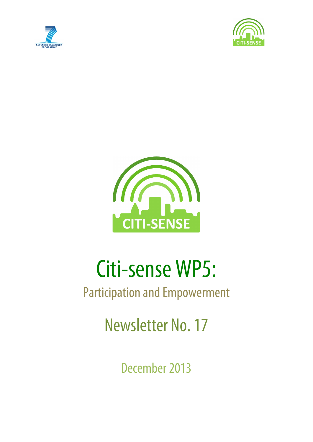





# Citi-sense WP5:

## Participation and Empowerment

Newsletter No. 17

December 2013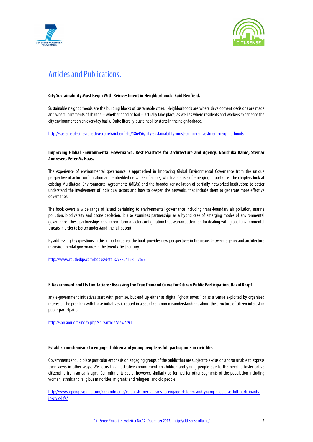



## Articles and Publications.

#### **City Sustainability Must Begin With Reinvestment in Neighborhoods. Kaid Benfield.**

Sustainable neighborhoods are the building blocks of sustainable cities. Neighborhoods are where development decisions are made and where increments of change – whether good or bad – actually take place, as well as where residents and workers experience the city environment on an everyday basis. Quite literally, sustainability starts in the neighborhood.

http://sustainablecitiescollective.com/kaidbenfield/186456/city-sustainability-must-begin-reinvestment-neighborhoods

#### **Improving Global Environmental Governance. Best Practices for Architecture and Agency. Norichika Kanie, Steinar Andresen, Peter M. Haas.**

The experience of environmental governance is approached in Improving Global Environmental Governance from the unique perspective of actor configuration and embedded networks of actors, which are areas of emerging importance. The chapters look at existing Multilateral Environmental Agreements (MEAs) and the broader constellation of partially networked institutions to better understand the involvement of individual actors and how to deepen the networks that include them to generate more effective governance.

The book covers a wide range of issued pertaining to environmental governance including trans-boundary air pollution, marine pollution, biodiversity and ozone depletion. It also examines partnerships as a hybrid case of emerging modes of environmental governance. These partnerships are a recent form of actor configuration that warrant attention for dealing with global environmental threats in order to better understand the full potenti

By addressing key questions in this important area, the book provides new perspectives in the nexus between agency and architecture in environmental governance in the twenty-first century.

http://www.routledge.com/books/details/9780415811767/

#### **E-Government and Its Limitations: Assessing the True Demand Curve for Citizen Public Participation. David Karpf.**

any e-government initiatives start with promise, but end up either as digital "ghost towns" or as a venue exploited by organized interests. The problem with these initiatives is rooted in a set of common misunderstandings about the structure of citizen interest in public participation.

http://spir.aoir.org/index.php/spir/article/view/791

#### **Establish mechanisms to engage children and young people as full participants in civic life.**

Governments should place particular emphasis on engaging groups of the public that are subject to exclusion and/or unable to express their views in other ways. We focus this illustrative commitment on children and young people due to the need to foster active citizenship from an early age. Commitments could, however, similarly be formed for other segments of the population including women, ethnic and religious minorities, migrants and refugees, and old people.

http://www.opengovguide.com/commitments/establish-mechanisms-to-engage-children-and-young-people-as-full-participantsin-civic-life/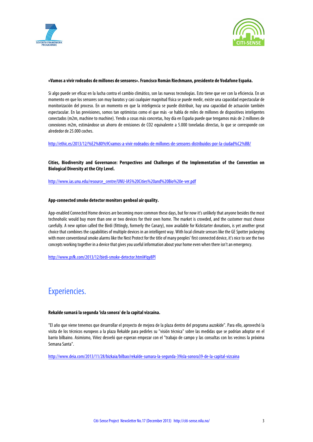



#### **«Vamos a vivir rodeados de millones de sensores».Francisco Román Riechmann, presidente de Vodafone España.**

Si algo puede ser eficaz en la lucha contra el cambio climático, son las nuevas tecnologías. Esto tiene que ver con la eficiencia. En un momento en que los sensores son muy baratos y casi cualquier magnitud física se puede medir, existe una capacidad espectacular de monitorización del proceso. En un momento en que la inteligencia se puede distribuir, hay una capacidad de actuación también espectacular. En las previsiones, somos tan optimistas como el que más -se habla de miles de millones de dispositivos inteligentes conectados (m2m, machine to machine). Yendo a cosas más concretas, hoy día en España puede que tengamos más de 2 millones de conexiones m2m, estimándose un ahorro de emisiones de CO2 equivalente a 5.000 toneladas directas, lo que se corresponde con alrededor de 25.000 coches.

http://ethic.es/2013/12/%E2%80%9Cvamos-a-vivir-rodeados-de-millones-de-sensores-distribuidos-por-la-ciudad%C2%BB/

**Cities, Biodiversity and Governance: Perspectives and Challenges of the Implementation of the Convention on Biological Diversity at the City Level.**

http://www.ias.unu.edu/resource\_centre/UNU-IAS%20Cities%20and%20Bio%20e-ver.pdf

#### **App-connected smoke detector monitors genbeal air quality.**

App-enabled Connected Home devices are becoming more common these days, but for now it's unlikely that anyone besides the most technoholic would buy more than one or two devices for their own home. The market is crowded, and the customer must choose carefully. A new option called the Birdi (fittingly, formerly the Canary), now available for Kickstarter donations, is yet another great choice that combines the capabilities of multiple devices in an intelligent way. With local climate sensors like the GE Spotter jockeying with more conventional smoke alarms like the Nest Protect for the title of many peoples' first connected device, it's nice to see the two concepts working together in a device that gives you useful information about your home even when there isn't an emergency.

http://www.psfk.com/2013/12/birdi-smoke-detector.html#!qy8Pl

## Experiencies.

#### **Rekalde sumará la segunda 'isla sonora' de la capital vizcaína.**

"El año que viene tenemos que desarrollar el proyecto de mejora de la plaza dentro del programa auzokide". Para ello, aprovechó la visita de los técnicos europeos a la plaza Rekalde para pedirles su "visión técnica" sobre las medidas que se podrían adoptar en el barrio bilbaino. Asimismo, Viñez desveló que esperan empezar con el "trabajo de campo y las consultas con los vecinos la próxima Semana Santa".

http://www.deia.com/2013/11/28/bizkaia/bilbao/rekalde-sumara-la-segunda-39isla-sonora39-de-la-capital-vizcaina